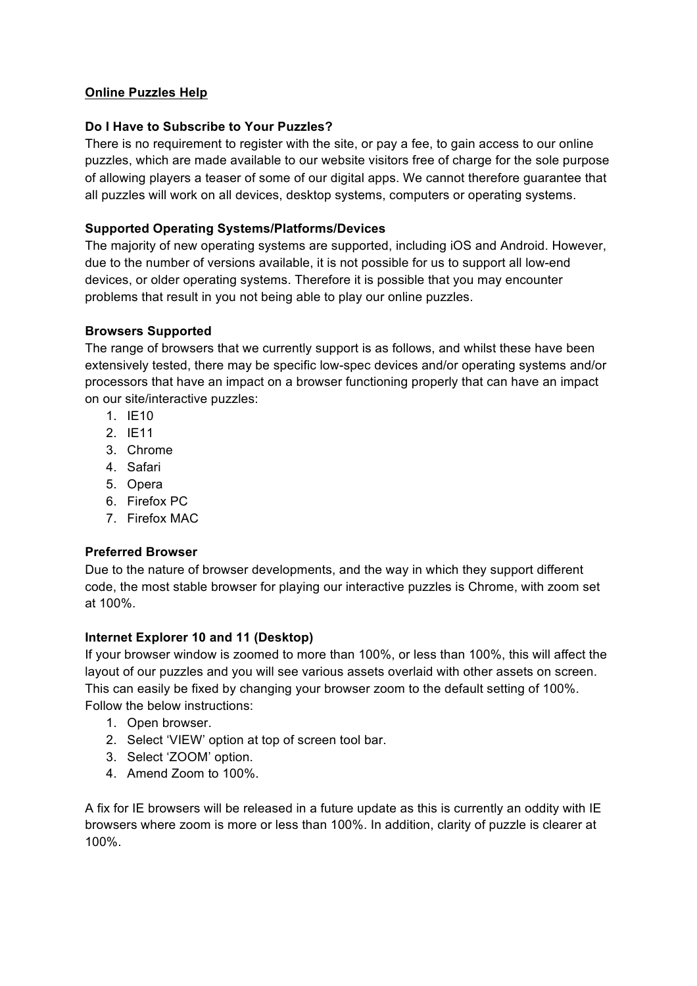## **Online Puzzles Help**

## **Do I Have to Subscribe to Your Puzzles?**

There is no requirement to register with the site, or pay a fee, to gain access to our online puzzles, which are made available to our website visitors free of charge for the sole purpose of allowing players a teaser of some of our digital apps. We cannot therefore guarantee that all puzzles will work on all devices, desktop systems, computers or operating systems.

## **Supported Operating Systems/Platforms/Devices**

The majority of new operating systems are supported, including iOS and Android. However, due to the number of versions available, it is not possible for us to support all low-end devices, or older operating systems. Therefore it is possible that you may encounter problems that result in you not being able to play our online puzzles.

#### **Browsers Supported**

The range of browsers that we currently support is as follows, and whilst these have been extensively tested, there may be specific low-spec devices and/or operating systems and/or processors that have an impact on a browser functioning properly that can have an impact on our site/interactive puzzles:

- 1. IE10
- 2. IE11
- 3. Chrome
- 4. Safari
- 5. Opera
- 6. Firefox PC
- 7. Firefox MAC

#### **Preferred Browser**

Due to the nature of browser developments, and the way in which they support different code, the most stable browser for playing our interactive puzzles is Chrome, with zoom set at 100%.

#### **Internet Explorer 10 and 11 (Desktop)**

If your browser window is zoomed to more than 100%, or less than 100%, this will affect the layout of our puzzles and you will see various assets overlaid with other assets on screen. This can easily be fixed by changing your browser zoom to the default setting of 100%. Follow the below instructions:

- 1. Open browser.
- 2. Select 'VIEW' option at top of screen tool bar.
- 3. Select 'ZOOM' option.
- 4. Amend Zoom to 100%.

A fix for IE browsers will be released in a future update as this is currently an oddity with IE browsers where zoom is more or less than 100%. In addition, clarity of puzzle is clearer at 100%.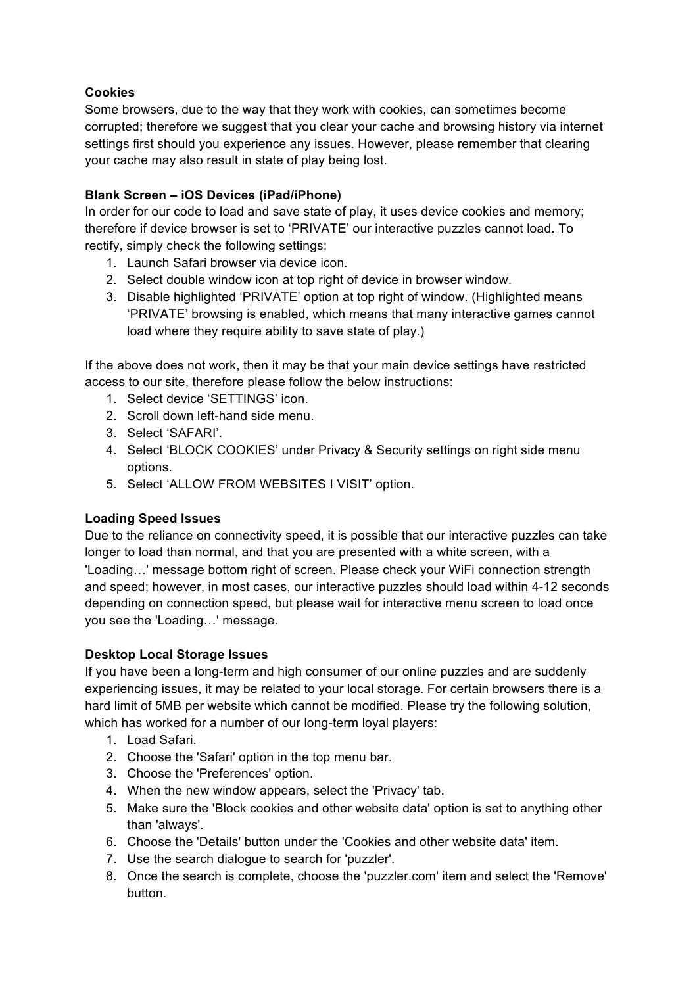# **Cookies**

Some browsers, due to the way that they work with cookies, can sometimes become corrupted; therefore we suggest that you clear your cache and browsing history via internet settings first should you experience any issues. However, please remember that clearing your cache may also result in state of play being lost.

# **Blank Screen – iOS Devices (iPad/iPhone)**

In order for our code to load and save state of play, it uses device cookies and memory; therefore if device browser is set to 'PRIVATE' our interactive puzzles cannot load. To rectify, simply check the following settings:

- 1. Launch Safari browser via device icon.
- 2. Select double window icon at top right of device in browser window.
- 3. Disable highlighted 'PRIVATE' option at top right of window. (Highlighted means 'PRIVATE' browsing is enabled, which means that many interactive games cannot load where they require ability to save state of play.)

If the above does not work, then it may be that your main device settings have restricted access to our site, therefore please follow the below instructions:

- 1. Select device 'SETTINGS' icon.
- 2. Scroll down left-hand side menu.
- 3. Select 'SAFARI'.
- 4. Select 'BLOCK COOKIES' under Privacy & Security settings on right side menu options.
- 5. Select 'ALLOW FROM WEBSITES I VISIT' option.

# **Loading Speed Issues**

Due to the reliance on connectivity speed, it is possible that our interactive puzzles can take longer to load than normal, and that you are presented with a white screen, with a 'Loading…' message bottom right of screen. Please check your WiFi connection strength and speed; however, in most cases, our interactive puzzles should load within 4-12 seconds depending on connection speed, but please wait for interactive menu screen to load once you see the 'Loading…' message.

#### **Desktop Local Storage Issues**

If you have been a long-term and high consumer of our online puzzles and are suddenly experiencing issues, it may be related to your local storage. For certain browsers there is a hard limit of 5MB per website which cannot be modified. Please try the following solution, which has worked for a number of our long-term loyal players:

- 1. Load Safari.
- 2. Choose the 'Safari' option in the top menu bar.
- 3. Choose the 'Preferences' option.
- 4. When the new window appears, select the 'Privacy' tab.
- 5. Make sure the 'Block cookies and other website data' option is set to anything other than 'always'.
- 6. Choose the 'Details' button under the 'Cookies and other website data' item.
- 7. Use the search dialogue to search for 'puzzler'.
- 8. Once the search is complete, choose the 'puzzler.com' item and select the 'Remove' button.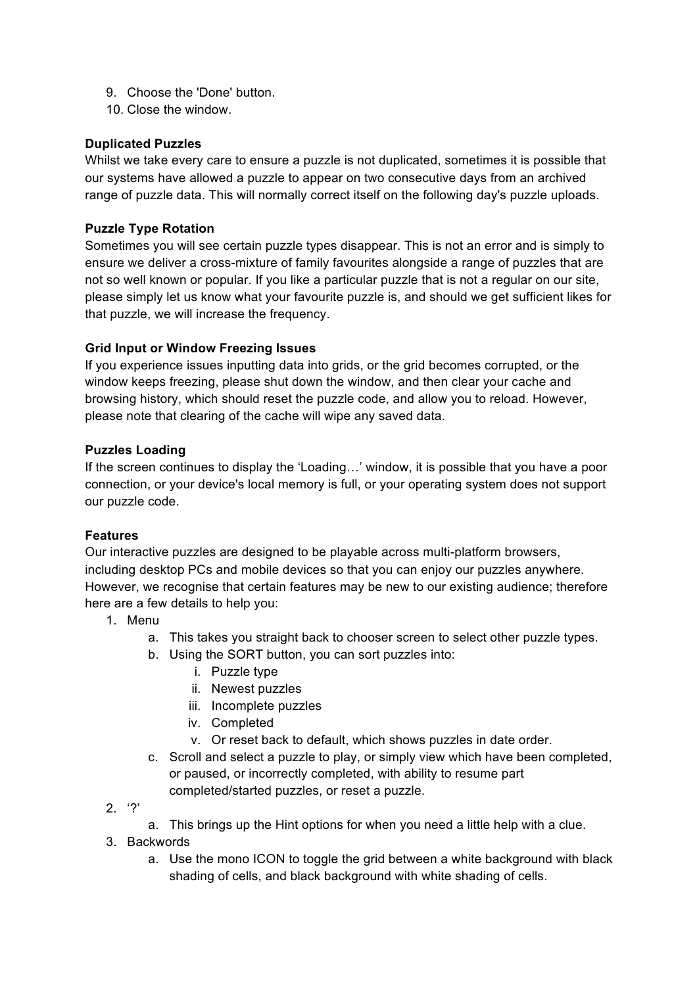- 9. Choose the 'Done' button.
- 10. Close the window.

## **Duplicated Puzzles**

Whilst we take every care to ensure a puzzle is not duplicated, sometimes it is possible that our systems have allowed a puzzle to appear on two consecutive days from an archived range of puzzle data. This will normally correct itself on the following day's puzzle uploads.

## **Puzzle Type Rotation**

Sometimes you will see certain puzzle types disappear. This is not an error and is simply to ensure we deliver a cross-mixture of family favourites alongside a range of puzzles that are not so well known or popular. If you like a particular puzzle that is not a regular on our site, please simply let us know what your favourite puzzle is, and should we get sufficient likes for that puzzle, we will increase the frequency.

## **Grid Input or Window Freezing Issues**

If you experience issues inputting data into grids, or the grid becomes corrupted, or the window keeps freezing, please shut down the window, and then clear your cache and browsing history, which should reset the puzzle code, and allow you to reload. However, please note that clearing of the cache will wipe any saved data.

#### **Puzzles Loading**

If the screen continues to display the 'Loading…' window, it is possible that you have a poor connection, or your device's local memory is full, or your operating system does not support our puzzle code.

# **Features**

Our interactive puzzles are designed to be playable across multi-platform browsers, including desktop PCs and mobile devices so that you can enjoy our puzzles anywhere. However, we recognise that certain features may be new to our existing audience; therefore here are a few details to help you:

- 1. Menu
	- a. This takes you straight back to chooser screen to select other puzzle types.
	- b. Using the SORT button, you can sort puzzles into:
		- i. Puzzle type
		- ii. Newest puzzles
		- iii. Incomplete puzzles
		- iv. Completed
		- v. Or reset back to default, which shows puzzles in date order.
	- c. Scroll and select a puzzle to play, or simply view which have been completed, or paused, or incorrectly completed, with ability to resume part completed/started puzzles, or reset a puzzle.
- $2. '?'$
- a. This brings up the Hint options for when you need a little help with a clue.
- 3. Backwords
	- a. Use the mono ICON to toggle the grid between a white background with black shading of cells, and black background with white shading of cells.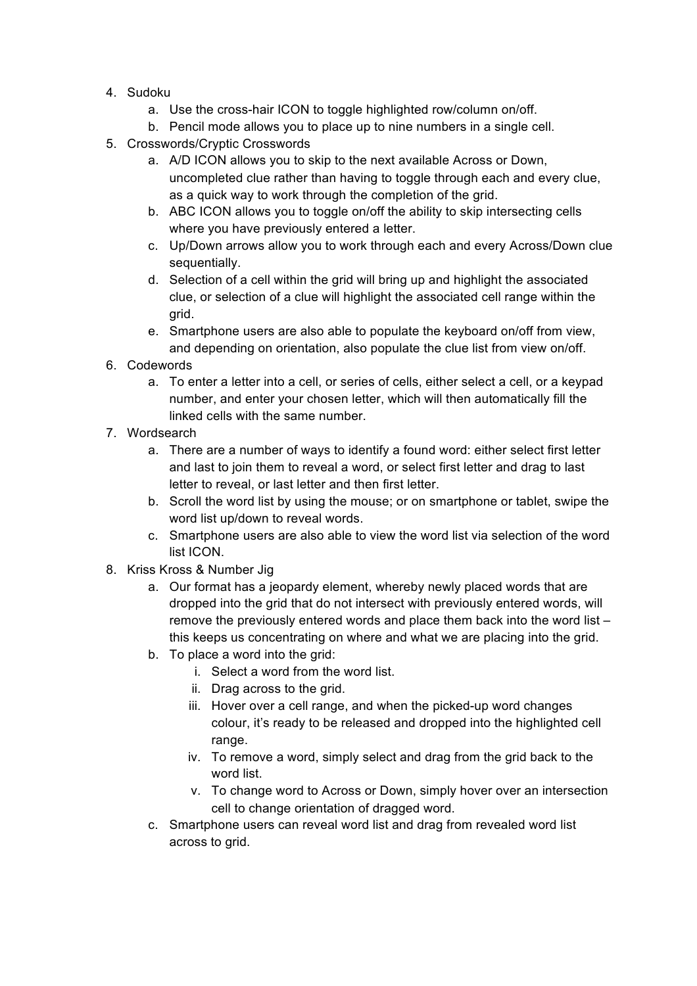- 4. Sudoku
	- a. Use the cross-hair ICON to toggle highlighted row/column on/off.
	- b. Pencil mode allows you to place up to nine numbers in a single cell.
- 5. Crosswords/Cryptic Crosswords
	- a. A/D ICON allows you to skip to the next available Across or Down, uncompleted clue rather than having to toggle through each and every clue, as a quick way to work through the completion of the grid.
	- b. ABC ICON allows you to toggle on/off the ability to skip intersecting cells where you have previously entered a letter.
	- c. Up/Down arrows allow you to work through each and every Across/Down clue sequentially.
	- d. Selection of a cell within the grid will bring up and highlight the associated clue, or selection of a clue will highlight the associated cell range within the grid.
	- e. Smartphone users are also able to populate the keyboard on/off from view, and depending on orientation, also populate the clue list from view on/off.
- 6. Codewords
	- a. To enter a letter into a cell, or series of cells, either select a cell, or a keypad number, and enter your chosen letter, which will then automatically fill the linked cells with the same number.
- 7. Wordsearch
	- a. There are a number of ways to identify a found word: either select first letter and last to join them to reveal a word, or select first letter and drag to last letter to reveal, or last letter and then first letter.
	- b. Scroll the word list by using the mouse; or on smartphone or tablet, swipe the word list up/down to reveal words.
	- c. Smartphone users are also able to view the word list via selection of the word list ICON.
- 8. Kriss Kross & Number Jig
	- a. Our format has a jeopardy element, whereby newly placed words that are dropped into the grid that do not intersect with previously entered words, will remove the previously entered words and place them back into the word list – this keeps us concentrating on where and what we are placing into the grid.
	- b. To place a word into the grid:
		- i. Select a word from the word list.
		- ii. Drag across to the grid.
		- iii. Hover over a cell range, and when the picked-up word changes colour, it's ready to be released and dropped into the highlighted cell range.
		- iv. To remove a word, simply select and drag from the grid back to the word list.
		- v. To change word to Across or Down, simply hover over an intersection cell to change orientation of dragged word.
	- c. Smartphone users can reveal word list and drag from revealed word list across to grid.